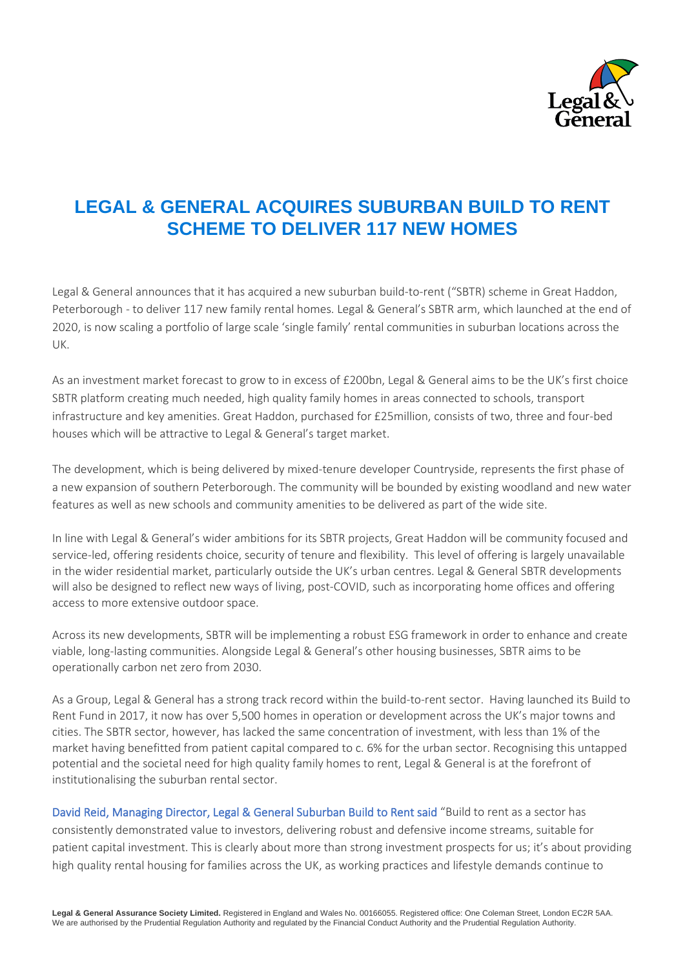

# **LEGAL & GENERAL ACQUIRES SUBURBAN BUILD TO RENT SCHEME TO DELIVER 117 NEW HOMES**

Legal & General announces that it has acquired a new suburban build-to-rent ("SBTR) scheme in Great Haddon, Peterborough - to deliver 117 new family rental homes. Legal & General's SBTR arm, which launched at the end of 2020, is now scaling a portfolio of large scale 'single family' rental communities in suburban locations across the UK.

As an investment market forecast to grow to in excess of £200bn, Legal & General aims to be the UK's first choice SBTR platform creating much needed, high quality family homes in areas connected to schools, transport infrastructure and key amenities. Great Haddon, purchased for £25million, consists of two, three and four-bed houses which will be attractive to Legal & General's target market.

The development, which is being delivered by mixed-tenure developer Countryside, represents the first phase of a new expansion of southern Peterborough. The community will be bounded by existing woodland and new water features as well as new schools and community amenities to be delivered as part of the wide site.

In line with Legal & General's wider ambitions for its SBTR projects, Great Haddon will be community focused and service-led, offering residents choice, security of tenure and flexibility. This level of offering is largely unavailable in the wider residential market, particularly outside the UK's urban centres. Legal & General SBTR developments will also be designed to reflect new ways of living, post-COVID, such as incorporating home offices and offering access to more extensive outdoor space.

Across its new developments, SBTR will be implementing a robust ESG framework in order to enhance and create viable, long-lasting communities. Alongside Legal & General's other housing businesses, SBTR aims to be operationally carbon net zero from 2030.

As a Group, Legal & General has a strong track record within the build-to-rent sector. Having launched its Build to Rent Fund in 2017, it now has over 5,500 homes in operation or development across the UK's major towns and cities. The SBTR sector, however, has lacked the same concentration of investment, with less than 1% of the market having benefitted from patient capital compared to c. 6% for the urban sector. Recognising this untapped potential and the societal need for high quality family homes to rent, Legal & General is at the forefront of institutionalising the suburban rental sector.

David Reid, Managing Director, Legal & General Suburban Build to Rent said "Build to rent as a sector has consistently demonstrated value to investors, delivering robust and defensive income streams, suitable for patient capital investment. This is clearly about more than strong investment prospects for us; it's about providing high quality rental housing for families across the UK, as working practices and lifestyle demands continue to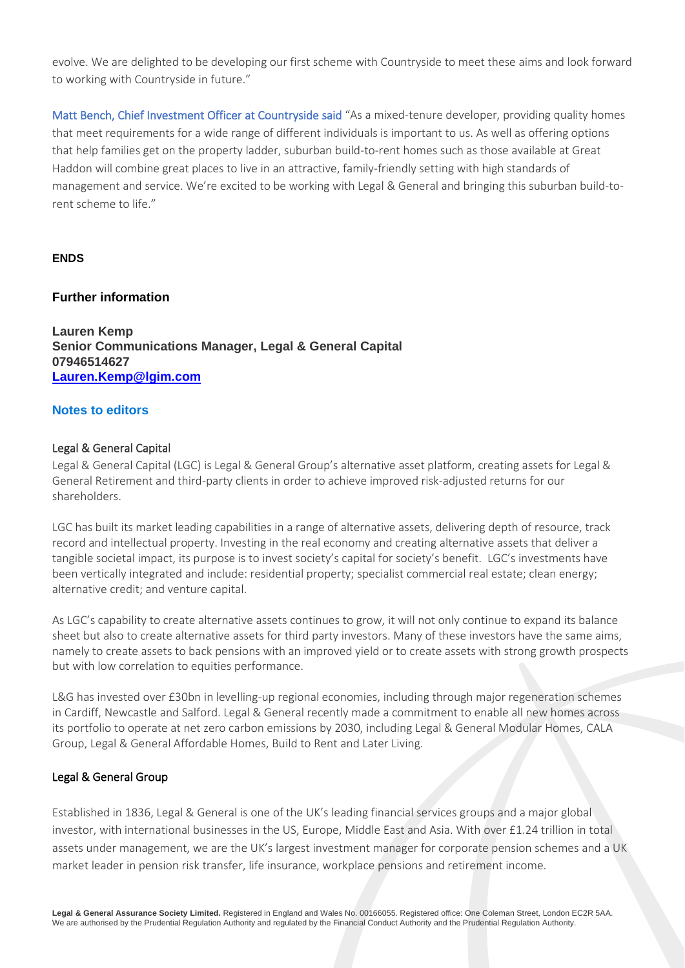evolve. We are delighted to be developing our first scheme with Countryside to meet these aims and look forward to working with Countryside in future."

Matt Bench, Chief Investment Officer at Countryside said "As a mixed-tenure developer, providing quality homes that meet requirements for a wide range of different individuals is important to us. As well as offering options that help families get on the property ladder, suburban build-to-rent homes such as those available at Great Haddon will combine great places to live in an attractive, family-friendly setting with high standards of management and service. We're excited to be working with Legal & General and bringing this suburban build-torent scheme to life."

## **ENDS**

## **Further information**

**Lauren Kemp Senior Communications Manager, Legal & General Capital 07946514627 [Lauren.Kemp@lgim.com](mailto:Lauren.Kemp@lgim.com)**

## **Notes to editors**

#### Legal & General Capital

Legal & General Capital (LGC) is Legal & General Group's alternative asset platform, creating assets for Legal & General Retirement and third-party clients in order to achieve improved risk-adjusted returns for our shareholders.

LGC has built its market leading capabilities in a range of alternative assets, delivering depth of resource, track record and intellectual property. Investing in the real economy and creating alternative assets that deliver a tangible societal impact, its purpose is to invest society's capital for society's benefit. LGC's investments have been vertically integrated and include: residential property; specialist commercial real estate; clean energy; alternative credit; and venture capital.

As LGC's capability to create alternative assets continues to grow, it will not only continue to expand its balance sheet but also to create alternative assets for third party investors. Many of these investors have the same aims, namely to create assets to back pensions with an improved yield or to create assets with strong growth prospects but with low correlation to equities performance.

L&G has invested over £30bn in levelling-up regional economies, including through major regeneration schemes in Cardiff, Newcastle and Salford. Legal & General recently made a commitment to enable all new homes across its portfolio to operate at net zero carbon emissions by 2030, including Legal & General Modular Homes, CALA Group, Legal & General Affordable Homes, Build to Rent and Later Living.

#### Legal & General Group

Established in 1836, Legal & General is one of the UK's leading financial services groups and a major global investor, with international businesses in the US, Europe, Middle East and Asia. With over £1.24 trillion in total assets under management, we are the UK's largest investment manager for corporate pension schemes and a UK market leader in pension risk transfer, life insurance, workplace pensions and retirement income.